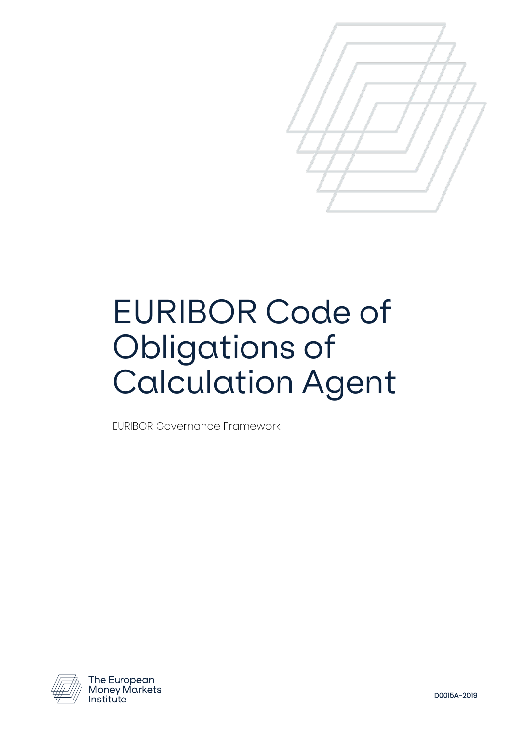

# EURIBOR Code of Obligations of Calculation Agent

EURIBOR Governance Framework



The European<br>Money Markets Institute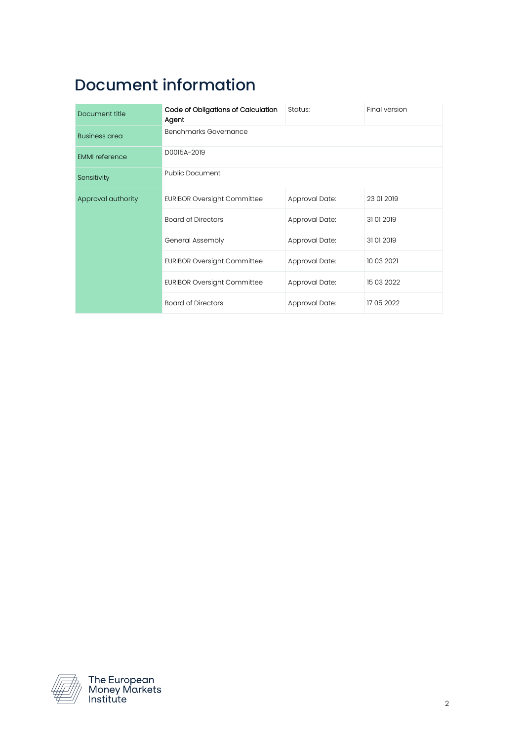# Document information

| Document title        | Code of Obligations of Calculation<br>Agent | Status:        | Final version |
|-----------------------|---------------------------------------------|----------------|---------------|
| <b>Business area</b>  | Benchmarks Governance                       |                |               |
| <b>EMMI</b> reference | D0015A-2019                                 |                |               |
| Sensitivity           | <b>Public Document</b>                      |                |               |
| Approval authority    | <b>EURIBOR Oversight Committee</b>          | Approval Date: | 23 01 2019    |
|                       | <b>Board of Directors</b>                   | Approval Date: | 31012019      |
|                       | General Assembly                            | Approval Date: | 31012019      |
|                       | <b>EURIBOR Oversight Committee</b>          | Approval Date: | 10 03 2021    |
|                       | <b>EURIBOR Oversight Committee</b>          | Approval Date: | 15 03 2022    |
|                       | <b>Board of Directors</b>                   | Approval Date: | 17 05 2022    |



The European<br>Money Markets<br>Institute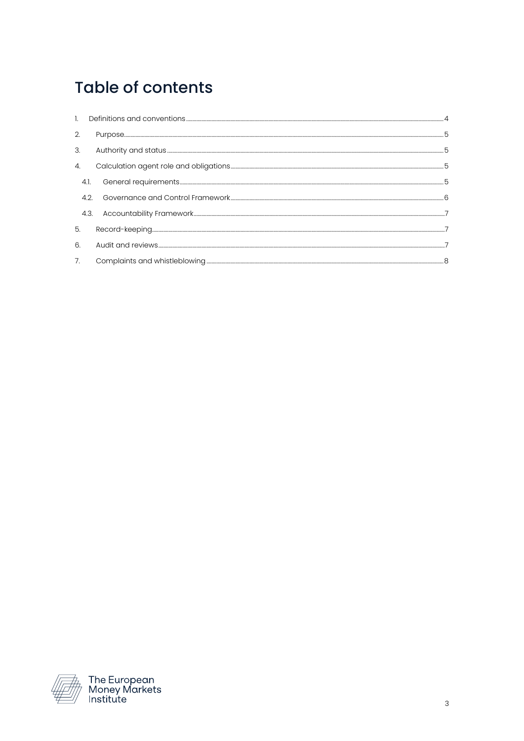# **Table of contents**

| $\overline{2}$ .      |      | 5 |
|-----------------------|------|---|
| 3.                    |      | 5 |
| $\mathcal{A}_{\cdot}$ |      | 5 |
|                       | 4.1. | 5 |
|                       | 4.2. |   |
|                       | 4.3. |   |
| 5.                    |      |   |
| 6                     |      |   |
| 7.                    |      |   |

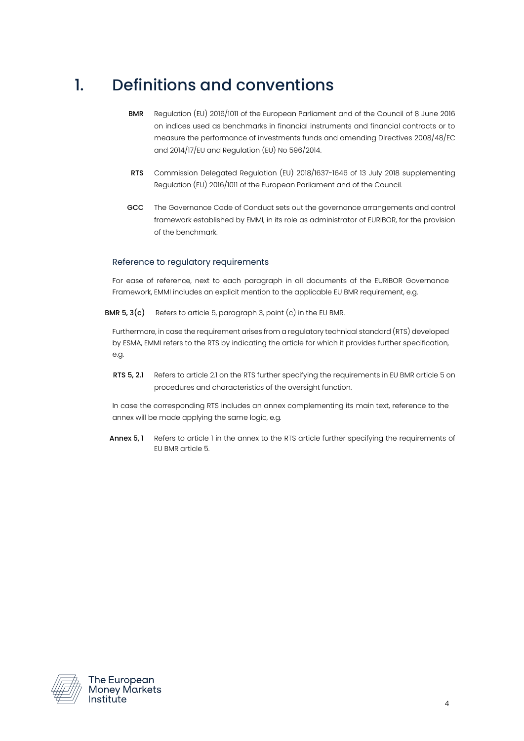#### <span id="page-3-0"></span>1. Definitions and conventions

- BMR Regulation (EU) 2016/1011 of the European Parliament and of the Council of 8 June 2016 on indices used as benchmarks in financial instruments and financial contracts or to measure the performance of investments funds and amending Directives 2008/48/EC and 2014/17/EU and Regulation (EU) No 596/2014.
- RTS Commission Delegated Regulation (EU) 2018/1637-1646 of 13 July 2018 supplementing Regulation (EU) 2016/1011 of the European Parliament and of the Council.
- GCC The Governance Code of Conduct sets out the governance arrangements and control framework established by EMMI, in its role as administrator of EURIBOR, for the provision of the benchmark.

#### Reference to regulatory requirements

For ease of reference, next to each paragraph in all documents of the EURIBOR Governance Framework, EMMI includes an explicit mention to the applicable EU BMR requirement, e.g.

BMR  $5, 3(c)$  Refers to article 5, paragraph 3, point  $(c)$  in the EU BMR.

Furthermore, in case the requirement arises from a regulatory technical standard (RTS) developed by ESMA, EMMI refers to the RTS by indicating the article for which it provides further specification, e.g.

RTS 5, 2.1 Refers to article 2.1 on the RTS further specifying the requirements in EU BMR article 5 on procedures and characteristics of the oversight function.

In case the corresponding RTS includes an annex complementing its main text, reference to the annex will be made applying the same logic, e.g.

Annex 5, 1 Refers to article 1 in the annex to the RTS article further specifying the requirements of EU BMR article 5.



The European<br>Money Markets Institute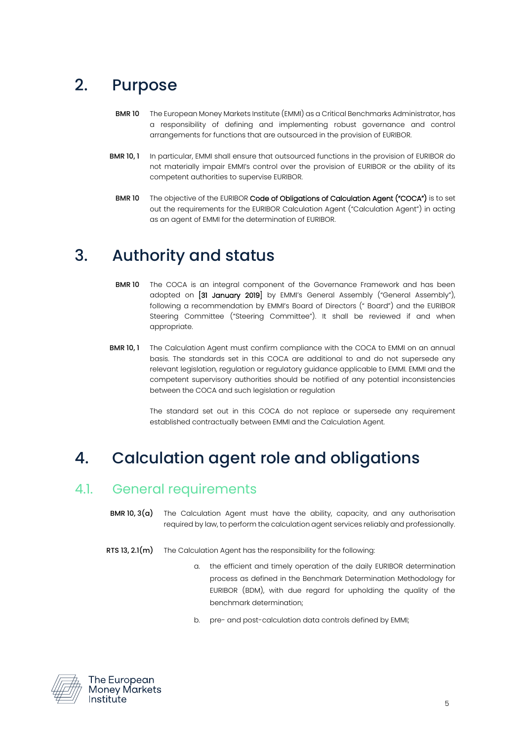# <span id="page-4-0"></span>2. Purpose

- BMR 10 The European Money Markets Institute (EMMI) as a Critical Benchmarks Administrator, has a responsibility of defining and implementing robust governance and control arrangements for functions that are outsourced in the provision of EURIBOR.
- BMR 10, 1 In particular, EMMI shall ensure that outsourced functions in the provision of EURIBOR do not materially impair EMMI's control over the provision of EURIBOR or the ability of its competent authorities to supervise EURIBOR.
	- BMR 10 The objective of the EURIBOR Code of Obligations of Calculation Agent ("COCA") is to set out the requirements for the EURIBOR Calculation Agent ("Calculation Agent") in acting as an agent of EMMI for the determination of EURIBOR.

#### <span id="page-4-1"></span>3. Authority and status

- **BMR 10** The COCA is an integral component of the Governance Framework and has been adopted on [31 January 2019] by EMMI's General Assembly ("General Assembly"), following a recommendation by EMMI's Board of Directors (" Board") and the EURIBOR Steering Committee ("Steering Committee"). It shall be reviewed if and when appropriate.
- **BMR 10, 1** The Calculation Agent must confirm compliance with the COCA to EMMI on an annual basis. The standards set in this COCA are additional to and do not supersede any relevant legislation, regulation or regulatory guidance applicable to EMMI. EMMI and the competent supervisory authorities should be notified of any potential inconsistencies between the COCA and such legislation or regulation

The standard set out in this COCA do not replace or supersede any requirement established contractually between EMMI and the Calculation Agent.

#### <span id="page-4-2"></span>4. Calculation agent role and obligations

#### <span id="page-4-3"></span>4.1. General requirements

- **BMR 10, 3(a)** The Calculation Agent must have the ability, capacity, and any authorisation required by law, to perform the calculation agent services reliably and professionally.
- RTS 13, 2.1 $(m)$  The Calculation Agent has the responsibility for the following:
	- a. the efficient and timely operation of the daily EURIBOR determination process as defined in the Benchmark Determination Methodology for EURIBOR (BDM), with due regard for upholding the quality of the benchmark determination;
	- b. pre- and post-calculation data controls defined by EMMI;



The European Monev Markets Institute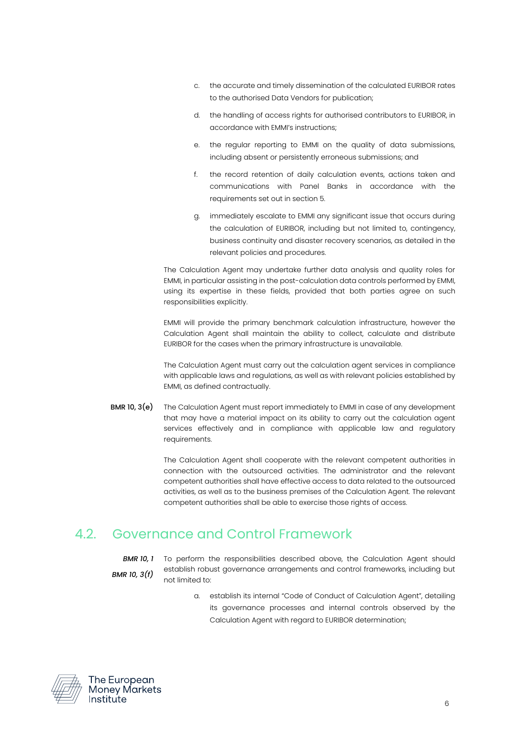- c. the accurate and timely dissemination of the calculated EURIBOR rates to the authorised Data Vendors for publication;
- d. the handling of access rights for authorised contributors to EURIBOR, in accordance with EMMI's instructions;
- e. the regular reporting to EMMI on the quality of data submissions, including absent or persistently erroneous submissions; and
- f. the record retention of daily calculation events, actions taken and communications with Panel Banks in accordance with the requirements set out in section 5.
- g. immediately escalate to EMMI any significant issue that occurs during the calculation of EURIBOR, including but not limited to, contingency, business continuity and disaster recovery scenarios, as detailed in the relevant policies and procedures.

The Calculation Agent may undertake further data analysis and quality roles for EMMI, in particular assisting in the post-calculation data controls performed by EMMI, using its expertise in these fields, provided that both parties agree on such responsibilities explicitly.

EMMI will provide the primary benchmark calculation infrastructure, however the Calculation Agent shall maintain the ability to collect, calculate and distribute EURIBOR for the cases when the primary infrastructure is unavailable.

The Calculation Agent must carry out the calculation agent services in compliance with applicable laws and regulations, as well as with relevant policies established by EMMI, as defined contractually.

BMR 10, 3(e) The Calculation Agent must report immediately to EMMI in case of any development that may have a material impact on its ability to carry out the calculation agent services effectively and in compliance with applicable law and regulatory requirements.

> The Calculation Agent shall cooperate with the relevant competent authorities in connection with the outsourced activities. The administrator and the relevant competent authorities shall have effective access to data related to the outsourced activities, as well as to the business premises of the Calculation Agent. The relevant competent authorities shall be able to exercise those rights of access.

#### <span id="page-5-0"></span>4.2. Governance and Control Framework

*BMR 10, 3(f)*

- *BMR 10, 1* To perform the responsibilities described above, the Calculation Agent should establish robust governance arrangements and control frameworks, including but not limited to:
	- a. establish its internal "Code of Conduct of Calculation Agent", detailing its governance processes and internal controls observed by the Calculation Agent with regard to EURIBOR determination;



The European **Money Markets** Institute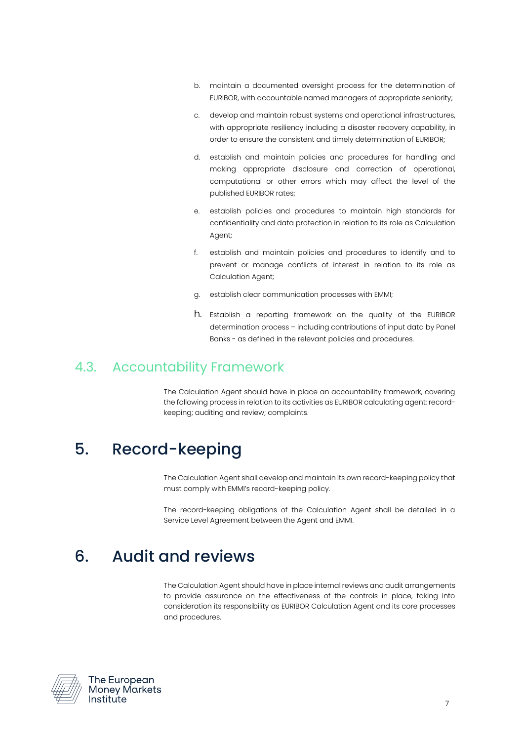- b. maintain a documented oversight process for the determination of EURIBOR, with accountable named managers of appropriate seniority;
- c. develop and maintain robust systems and operational infrastructures, with appropriate resiliency including a disaster recovery capability, in order to ensure the consistent and timely determination of EURIBOR;
- d. establish and maintain policies and procedures for handling and making appropriate disclosure and correction of operational, computational or other errors which may affect the level of the published EURIBOR rates;
- e. establish policies and procedures to maintain high standards for confidentiality and data protection in relation to its role as Calculation Agent;
- f. establish and maintain policies and procedures to identify and to prevent or manage conflicts of interest in relation to its role as Calculation Agent;
- g. establish clear communication processes with EMMI;
- h. Establish a reporting framework on the quality of the EURIBOR determination process – including contributions of input data by Panel Banks - as defined in the relevant policies and procedures.

#### <span id="page-6-0"></span>4.3. Accountability Framework

The Calculation Agent should have in place an accountability framework, covering the following process in relation to its activities as EURIBOR calculating agent: recordkeeping; auditing and review; complaints.

#### <span id="page-6-1"></span>5. Record-keeping

The Calculation Agent shall develop and maintain its own record-keeping policy that must comply with EMMI's record-keeping policy.

The record-keeping obligations of the Calculation Agent shall be detailed in a Service Level Agreement between the Agent and EMMI.

#### <span id="page-6-2"></span>6. Audit and reviews

The Calculation Agent should have in place internal reviews and audit arrangements to provide assurance on the effectiveness of the controls in place, taking into consideration its responsibility as EURIBOR Calculation Agent and its core processes and procedures.



The European **Money Markets** Institute